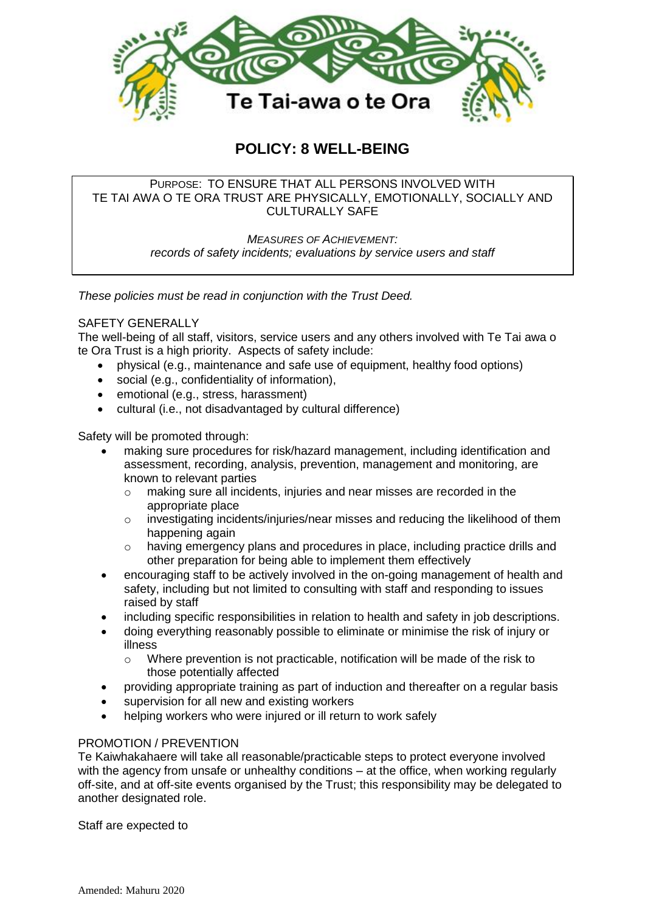

# **POLICY: 8 WELL-BEING**

# PURPOSE: TO ENSURE THAT ALL PERSONS INVOLVED WITH TE TAI AWA O TE ORA TRUST ARE PHYSICALLY, EMOTIONALLY, SOCIALLY AND CULTURALLY SAFE

*MEASURES OF ACHIEVEMENT: records of safety incidents; evaluations by service users and staff* 

*These policies must be read in conjunction with the Trust Deed.*

# SAFETY GENERALLY

The well-being of all staff, visitors, service users and any others involved with Te Tai awa o te Ora Trust is a high priority. Aspects of safety include:

- physical (e.g., maintenance and safe use of equipment, healthy food options)
- social (e.g., confidentiality of information),
- emotional (e.g., stress, harassment)
- cultural (i.e., not disadvantaged by cultural difference)

Safety will be promoted through:

- making sure procedures for risk/hazard management, including identification and assessment, recording, analysis, prevention, management and monitoring, are known to relevant parties
	- o making sure all incidents, injuries and near misses are recorded in the appropriate place
	- $\circ$  investigating incidents/injuries/near misses and reducing the likelihood of them happening again
	- $\circ$  having emergency plans and procedures in place, including practice drills and other preparation for being able to implement them effectively
- encouraging staff to be actively involved in the on-going management of health and safety, including but not limited to consulting with staff and responding to issues raised by staff
- including specific responsibilities in relation to health and safety in job descriptions.
- doing everything reasonably possible to eliminate or minimise the risk of injury or illness
	- $\circ$  Where prevention is not practicable, notification will be made of the risk to those potentially affected
- providing appropriate training as part of induction and thereafter on a regular basis
- supervision for all new and existing workers
- helping workers who were injured or ill return to work safely

## PROMOTION / PREVENTION

Te Kaiwhakahaere will take all reasonable/practicable steps to protect everyone involved with the agency from unsafe or unhealthy conditions – at the office, when working regularly off-site, and at off-site events organised by the Trust; this responsibility may be delegated to another designated role.

Staff are expected to